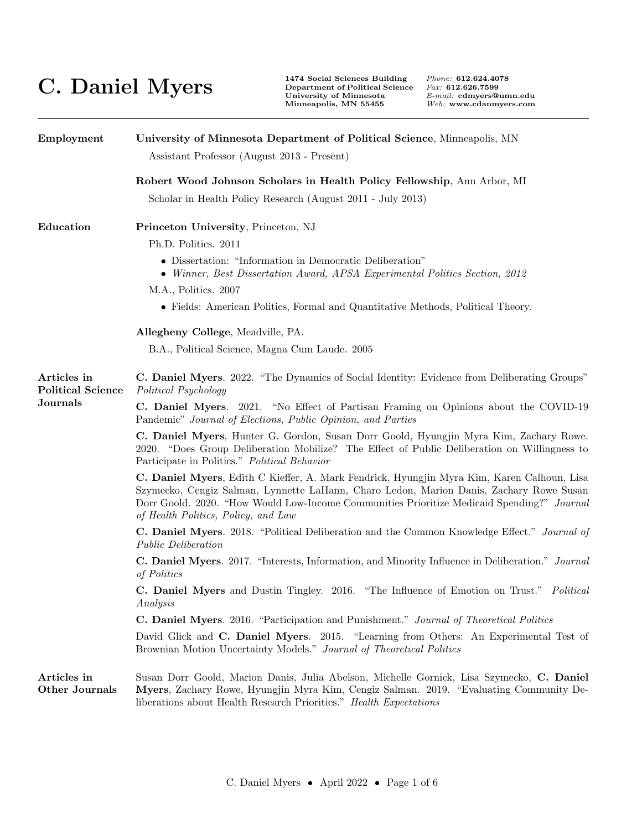## **C. Daniel Myers 1474 Social Sciences Building**  $\sum_{\substack{\text{Department of Political S}}_{\text{University of Minnesota}}}\nprod_{\substack{\text{Uninersity of Minnesota}\\ \text{Minineapolis, MN 55455}}}\n$

**Department of Political Science** *Fax:* **612.626.7599**

| Employment                                                 | University of Minnesota Department of Political Science, Minneapolis, MN<br>Assistant Professor (August 2013 - Present)                                                                                                                                                                                                    |  |  |
|------------------------------------------------------------|----------------------------------------------------------------------------------------------------------------------------------------------------------------------------------------------------------------------------------------------------------------------------------------------------------------------------|--|--|
|                                                            | Robert Wood Johnson Scholars in Health Policy Fellowship, Ann Arbor, MI                                                                                                                                                                                                                                                    |  |  |
|                                                            | Scholar in Health Policy Research (August 2011 - July 2013)                                                                                                                                                                                                                                                                |  |  |
| Education                                                  | Princeton University, Princeton, NJ                                                                                                                                                                                                                                                                                        |  |  |
|                                                            | Ph.D. Politics. 2011                                                                                                                                                                                                                                                                                                       |  |  |
|                                                            | • Dissertation: "Information in Democratic Deliberation"<br>• Winner, Best Dissertation Award, APSA Experimental Politics Section, 2012                                                                                                                                                                                    |  |  |
|                                                            | M.A., Politics. 2007                                                                                                                                                                                                                                                                                                       |  |  |
|                                                            | • Fields: American Politics, Formal and Quantitative Methods, Political Theory.                                                                                                                                                                                                                                            |  |  |
|                                                            | Allegheny College, Meadville, PA.                                                                                                                                                                                                                                                                                          |  |  |
|                                                            | B.A., Political Science, Magna Cum Laude. 2005                                                                                                                                                                                                                                                                             |  |  |
| Articles in<br><b>Political Science</b><br><b>Journals</b> | C. Daniel Myers. 2022. "The Dynamics of Social Identity: Evidence from Deliberating Groups"<br>Political Psychology                                                                                                                                                                                                        |  |  |
|                                                            | C. Daniel Myers. 2021. "No Effect of Partisan Framing on Opinions about the COVID-19<br>Pandemic" Journal of Elections, Public Opinion, and Parties                                                                                                                                                                        |  |  |
|                                                            | C. Daniel Myers, Hunter G. Gordon, Susan Dorr Goold, Hyungjin Myra Kim, Zachary Rowe.<br>2020. "Does Group Deliberation Mobilize? The Effect of Public Deliberation on Willingness to<br>Participate in Politics." Political Behavior                                                                                      |  |  |
|                                                            | C. Daniel Myers, Edith C Kieffer, A. Mark Fendrick, Hyungjin Myra Kim, Karen Calhoun, Lisa<br>Szymecko, Cengiz Salman, Lynnette LaHann, Charo Ledon, Marion Danis, Zachary Rowe Susan<br>Dorr Goold. 2020. "How Would Low-Income Communities Prioritize Medicaid Spending?" Journal<br>of Health Politics, Policy, and Law |  |  |
|                                                            | C. Daniel Myers. 2018. "Political Deliberation and the Common Knowledge Effect." Journal of<br><b>Public Deliberation</b>                                                                                                                                                                                                  |  |  |
|                                                            | C. Daniel Myers. 2017. "Interests, Information, and Minority Influence in Deliberation." Journal<br>of Politics                                                                                                                                                                                                            |  |  |
|                                                            | C. Daniel Myers and Dustin Tingley. 2016. "The Influence of Emotion on Trust." Political<br>Analysis                                                                                                                                                                                                                       |  |  |
|                                                            | C. Daniel Myers. 2016. "Participation and Punishment." Journal of Theoretical Politics                                                                                                                                                                                                                                     |  |  |
|                                                            | David Glick and C. Daniel Myers. 2015. "Learning from Others: An Experimental Test of<br>Brownian Motion Uncertainty Models." Journal of Theoretical Politics                                                                                                                                                              |  |  |
| Articles in<br>Other Journals                              | Susan Dorr Goold, Marion Danis, Julia Abelson, Michelle Gornick, Lisa Szymecko, C. Daniel<br>Myers, Zachary Rowe, Hyungjin Myra Kim, Cengiz Salman. 2019. "Evaluating Community De-<br>liberations about Health Research Priorities." Health Expectations                                                                  |  |  |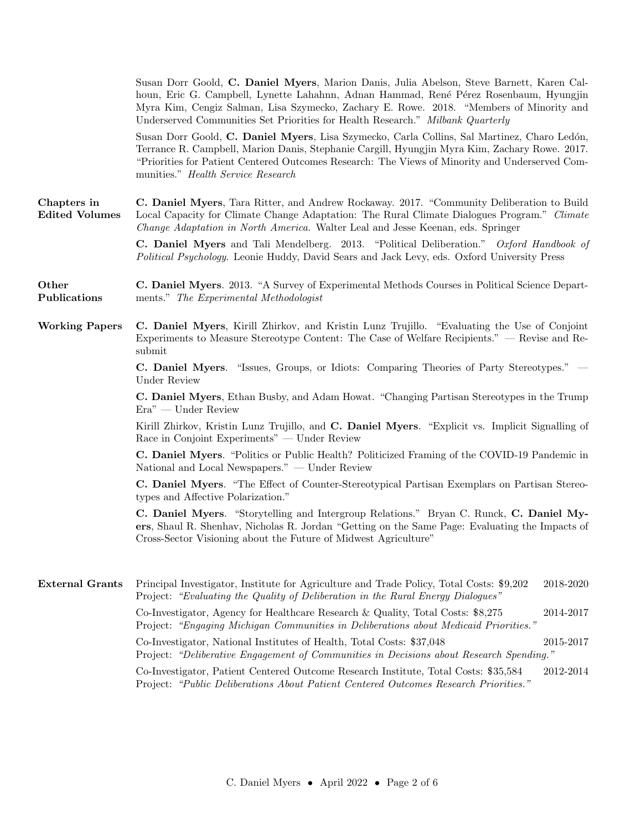|                                      | Susan Dorr Goold, C. Daniel Myers, Marion Danis, Julia Abelson, Steve Barnett, Karen Cal-<br>houn, Eric G. Campbell, Lynette Lahahnn, Adnan Hammad, René Pérez Rosenbaum, Hyungjin<br>Myra Kim, Cengiz Salman, Lisa Szymecko, Zachary E. Rowe. 2018. "Members of Minority and<br>Underserved Communities Set Priorities for Health Research." Milbank Quarterly |  |  |
|--------------------------------------|-----------------------------------------------------------------------------------------------------------------------------------------------------------------------------------------------------------------------------------------------------------------------------------------------------------------------------------------------------------------|--|--|
|                                      | Susan Dorr Goold, C. Daniel Myers, Lisa Szymecko, Carla Collins, Sal Martinez, Charo Ledón,<br>Terrance R. Campbell, Marion Danis, Stephanie Cargill, Hyungjin Myra Kim, Zachary Rowe. 2017.<br>"Priorities for Patient Centered Outcomes Research: The Views of Minority and Underserved Com-<br>munities." Health Service Research                            |  |  |
| Chapters in<br><b>Edited Volumes</b> | C. Daniel Myers, Tara Ritter, and Andrew Rockaway. 2017. "Community Deliberation to Build<br>Local Capacity for Climate Change Adaptation: The Rural Climate Dialogues Program." Climate<br>Change Adaptation in North America. Walter Leal and Jesse Keenan, eds. Springer                                                                                     |  |  |
|                                      | <b>C. Daniel Myers</b> and Tali Mendelberg. 2013. "Political Deliberation." Oxford Handbook of<br>Political Psychology. Leonie Huddy, David Sears and Jack Levy, eds. Oxford University Press                                                                                                                                                                   |  |  |
| Other<br>Publications                | C. Daniel Myers. 2013. "A Survey of Experimental Methods Courses in Political Science Depart-<br>ments." The Experimental Methodologist                                                                                                                                                                                                                         |  |  |
| <b>Working Papers</b>                | C. Daniel Myers, Kirill Zhirkov, and Kristin Lunz Trujillo. "Evaluating the Use of Conjoint<br>Experiments to Measure Stereotype Content: The Case of Welfare Recipients." — Revise and Re-<br>submit                                                                                                                                                           |  |  |
|                                      | C. Daniel Myers. "Issues, Groups, or Idiots: Comparing Theories of Party Stereotypes." —<br><b>Under Review</b>                                                                                                                                                                                                                                                 |  |  |
|                                      | C. Daniel Myers, Ethan Busby, and Adam Howat. "Changing Partisan Stereotypes in the Trump<br>Era" — Under Review                                                                                                                                                                                                                                                |  |  |
|                                      | Kirill Zhirkov, Kristin Lunz Trujillo, and C. Daniel Myers. "Explicit vs. Implicit Signalling of<br>Race in Conjoint Experiments" — Under Review                                                                                                                                                                                                                |  |  |
|                                      | C. Daniel Myers. "Politics or Public Health? Politicized Framing of the COVID-19 Pandemic in<br>National and Local Newspapers." — Under Review                                                                                                                                                                                                                  |  |  |
|                                      | C. Daniel Myers. "The Effect of Counter-Stereotypical Partisan Exemplars on Partisan Stereo-<br>types and Affective Polarization."                                                                                                                                                                                                                              |  |  |
|                                      | C. Daniel Myers. "Storytelling and Intergroup Relations." Bryan C. Runck, C. Daniel My-<br>ers, Shaul R. Shenhav, Nicholas R. Jordan "Getting on the Same Page: Evaluating the Impacts of<br>Cross-Sector Visioning about the Future of Midwest Agriculture"                                                                                                    |  |  |
| <b>External Grants</b>               | $2018 - 2020$<br>Principal Investigator, Institute for Agriculture and Trade Policy, Total Costs: \$9,202<br>Project: "Evaluating the Quality of Deliberation in the Rural Energy Dialogues"                                                                                                                                                                    |  |  |
|                                      | Co-Investigator, Agency for Healthcare Research & Quality, Total Costs: \$8,275<br>2014-2017<br>Project: "Engaging Michigan Communities in Deliberations about Medicaid Priorities."                                                                                                                                                                            |  |  |
|                                      | Co-Investigator, National Institutes of Health, Total Costs: \$37,048<br>2015-2017<br>Project: "Deliberative Engagement of Communities in Decisions about Research Spending."                                                                                                                                                                                   |  |  |
|                                      | Co-Investigator, Patient Centered Outcome Research Institute, Total Costs: \$35,584<br>2012-2014<br>Project: "Public Deliberations About Patient Centered Outcomes Research Priorities."                                                                                                                                                                        |  |  |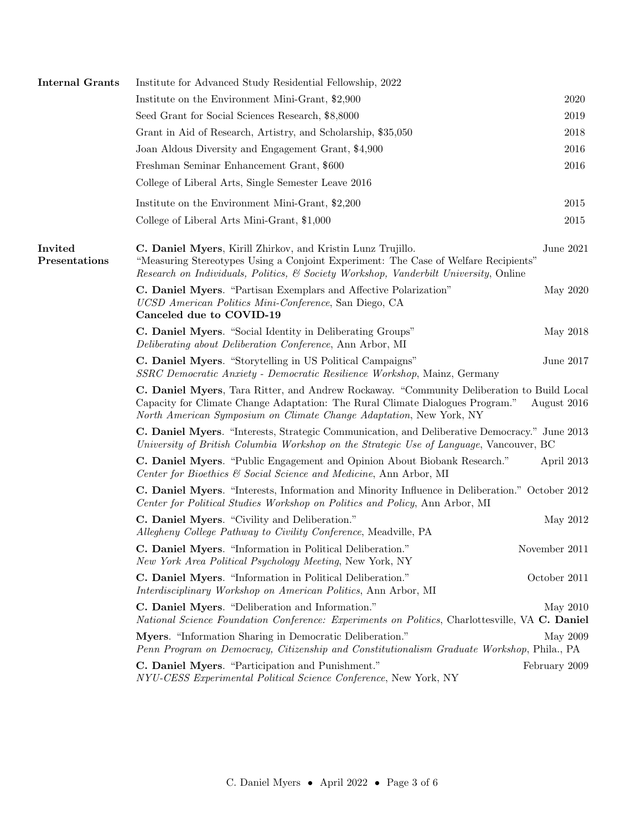| <b>Internal Grants</b>          | Institute for Advanced Study Residential Fellowship, 2022                                                                                                                                                                                         |               |
|---------------------------------|---------------------------------------------------------------------------------------------------------------------------------------------------------------------------------------------------------------------------------------------------|---------------|
|                                 | Institute on the Environment Mini-Grant, \$2,900                                                                                                                                                                                                  | 2020          |
|                                 | Seed Grant for Social Sciences Research, \$8,8000                                                                                                                                                                                                 | 2019          |
|                                 | Grant in Aid of Research, Artistry, and Scholarship, \$35,050                                                                                                                                                                                     | 2018          |
|                                 | Joan Aldous Diversity and Engagement Grant, \$4,900                                                                                                                                                                                               | 2016          |
|                                 | Freshman Seminar Enhancement Grant, \$600                                                                                                                                                                                                         | 2016          |
|                                 | College of Liberal Arts, Single Semester Leave 2016                                                                                                                                                                                               |               |
|                                 | Institute on the Environment Mini-Grant, \$2,200                                                                                                                                                                                                  | 2015          |
|                                 | College of Liberal Arts Mini-Grant, \$1,000                                                                                                                                                                                                       | 2015          |
| <b>Invited</b><br>Presentations | C. Daniel Myers, Kirill Zhirkov, and Kristin Lunz Trujillo.<br>"Measuring Stereotypes Using a Conjoint Experiment: The Case of Welfare Recipients"<br>Research on Individuals, Politics, & Society Workshop, Vanderbilt University, Online        | June 2021     |
|                                 | C. Daniel Myers. "Partisan Exemplars and Affective Polarization"<br>UCSD American Politics Mini-Conference, San Diego, CA<br>Canceled due to COVID-19                                                                                             | May 2020      |
|                                 | C. Daniel Myers. "Social Identity in Deliberating Groups"<br>Deliberating about Deliberation Conference, Ann Arbor, MI                                                                                                                            | May 2018      |
|                                 | C. Daniel Myers. "Storytelling in US Political Campaigns"<br>SSRC Democratic Anxiety - Democratic Resilience Workshop, Mainz, Germany                                                                                                             | June 2017     |
|                                 | C. Daniel Myers, Tara Ritter, and Andrew Rockaway. "Community Deliberation to Build Local<br>Capacity for Climate Change Adaptation: The Rural Climate Dialogues Program."<br>North American Symposium on Climate Change Adaptation, New York, NY | August 2016   |
|                                 | C. Daniel Myers. "Interests, Strategic Communication, and Deliberative Democracy." June 2013<br>University of British Columbia Workshop on the Strategic Use of Language, Vancouver, BC                                                           |               |
|                                 | C. Daniel Myers. "Public Engagement and Opinion About Biobank Research."<br>Center for Bioethics & Social Science and Medicine, Ann Arbor, MI                                                                                                     | April 2013    |
|                                 | C. Daniel Myers. "Interests, Information and Minority Influence in Deliberation." October 2012<br>Center for Political Studies Workshop on Politics and Policy, Ann Arbor, MI                                                                     |               |
|                                 | C. Daniel Myers. "Civility and Deliberation."<br>Allegheny College Pathway to Civility Conference, Meadville, PA                                                                                                                                  | May 2012      |
|                                 | C. Daniel Myers. "Information in Political Deliberation."<br>New York Area Political Psychology Meeting, New York, NY                                                                                                                             | November 2011 |
|                                 | C. Daniel Myers. "Information in Political Deliberation."<br>Interdisciplinary Workshop on American Politics, Ann Arbor, MI                                                                                                                       | October 2011  |
|                                 | C. Daniel Myers. "Deliberation and Information."<br>National Science Foundation Conference: Experiments on Politics, Charlottesville, VA C. Daniel                                                                                                | May 2010      |
|                                 | Myers. "Information Sharing in Democratic Deliberation."<br>Penn Program on Democracy, Citizenship and Constitutionalism Graduate Workshop, Phila., PA                                                                                            | May 2009      |
|                                 | C. Daniel Myers. "Participation and Punishment."<br>NYU-CESS Experimental Political Science Conference, New York, NY                                                                                                                              | February 2009 |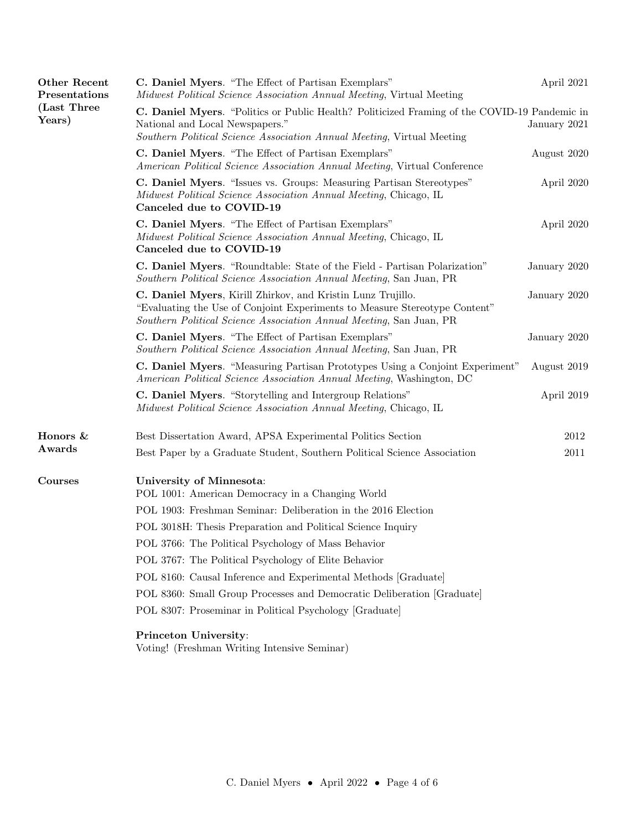| Other Recent<br>Presentations | C. Daniel Myers. "The Effect of Partisan Exemplars"<br>Midwest Political Science Association Annual Meeting, Virtual Meeting                                                                                     |              |  |
|-------------------------------|------------------------------------------------------------------------------------------------------------------------------------------------------------------------------------------------------------------|--------------|--|
| (Last Three<br>Years)         | C. Daniel Myers. "Politics or Public Health? Politicized Framing of the COVID-19 Pandemic in<br>National and Local Newspapers."<br>Southern Political Science Association Annual Meeting, Virtual Meeting        |              |  |
|                               | C. Daniel Myers. "The Effect of Partisan Exemplars"<br>American Political Science Association Annual Meeting, Virtual Conference                                                                                 | August 2020  |  |
|                               | C. Daniel Myers. "Issues vs. Groups: Measuring Partisan Stereotypes"<br>Midwest Political Science Association Annual Meeting, Chicago, IL<br>Canceled due to COVID-19                                            | April 2020   |  |
|                               | C. Daniel Myers. "The Effect of Partisan Exemplars"<br>Midwest Political Science Association Annual Meeting, Chicago, IL<br>Canceled due to COVID-19                                                             | April 2020   |  |
|                               | C. Daniel Myers. "Roundtable: State of the Field - Partisan Polarization"<br>Southern Political Science Association Annual Meeting, San Juan, PR                                                                 | January 2020 |  |
|                               | C. Daniel Myers, Kirill Zhirkov, and Kristin Lunz Trujillo.<br>"Evaluating the Use of Conjoint Experiments to Measure Stereotype Content"<br>Southern Political Science Association Annual Meeting, San Juan, PR |              |  |
|                               | C. Daniel Myers. "The Effect of Partisan Exemplars"<br>Southern Political Science Association Annual Meeting, San Juan, PR                                                                                       | January 2020 |  |
|                               | C. Daniel Myers. "Measuring Partisan Prototypes Using a Conjoint Experiment"<br>American Political Science Association Annual Meeting, Washington, DC                                                            | August 2019  |  |
|                               | C. Daniel Myers. "Storytelling and Intergroup Relations"<br>Midwest Political Science Association Annual Meeting, Chicago, IL                                                                                    | April 2019   |  |
| Honors &<br>Awards            | Best Dissertation Award, APSA Experimental Politics Section                                                                                                                                                      | 2012         |  |
|                               | Best Paper by a Graduate Student, Southern Political Science Association                                                                                                                                         | 2011         |  |
| Courses                       | University of Minnesota:<br>POL 1001: American Democracy in a Changing World                                                                                                                                     |              |  |
|                               | POL 1903: Freshman Seminar: Deliberation in the 2016 Election                                                                                                                                                    |              |  |
|                               | POL 3018H: Thesis Preparation and Political Science Inquiry                                                                                                                                                      |              |  |
|                               | POL 3766: The Political Psychology of Mass Behavior                                                                                                                                                              |              |  |
|                               | POL 3767: The Political Psychology of Elite Behavior                                                                                                                                                             |              |  |
|                               | POL 8160: Causal Inference and Experimental Methods [Graduate]                                                                                                                                                   |              |  |
|                               | POL 8360: Small Group Processes and Democratic Deliberation [Graduate]                                                                                                                                           |              |  |
|                               | POL 8307: Proseminar in Political Psychology [Graduate]                                                                                                                                                          |              |  |
|                               | Princeton University:                                                                                                                                                                                            |              |  |

Voting! (Freshman Writing Intensive Seminar)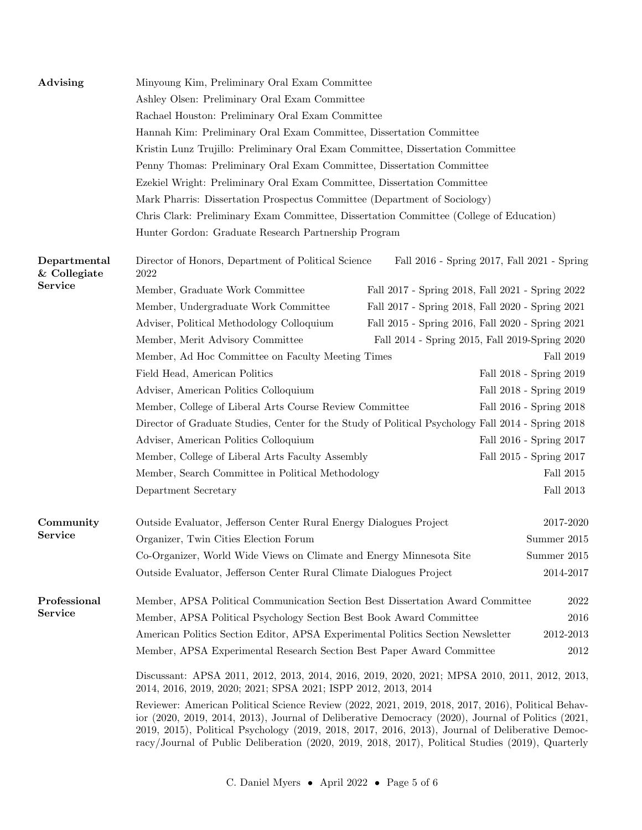| Advising                     | Minyoung Kim, Preliminary Oral Exam Committee                                                                                                                                                                                                                                                                                                                                                                                               |  |                                                  |  |  |
|------------------------------|---------------------------------------------------------------------------------------------------------------------------------------------------------------------------------------------------------------------------------------------------------------------------------------------------------------------------------------------------------------------------------------------------------------------------------------------|--|--------------------------------------------------|--|--|
|                              | Ashley Olsen: Preliminary Oral Exam Committee                                                                                                                                                                                                                                                                                                                                                                                               |  |                                                  |  |  |
|                              | Rachael Houston: Preliminary Oral Exam Committee                                                                                                                                                                                                                                                                                                                                                                                            |  |                                                  |  |  |
|                              | Hannah Kim: Preliminary Oral Exam Committee, Dissertation Committee                                                                                                                                                                                                                                                                                                                                                                         |  |                                                  |  |  |
|                              | Kristin Lunz Trujillo: Preliminary Oral Exam Committee, Dissertation Committee                                                                                                                                                                                                                                                                                                                                                              |  |                                                  |  |  |
|                              | Penny Thomas: Preliminary Oral Exam Committee, Dissertation Committee                                                                                                                                                                                                                                                                                                                                                                       |  |                                                  |  |  |
|                              | Ezekiel Wright: Preliminary Oral Exam Committee, Dissertation Committee                                                                                                                                                                                                                                                                                                                                                                     |  |                                                  |  |  |
|                              | Mark Pharris: Dissertation Prospectus Committee (Department of Sociology)                                                                                                                                                                                                                                                                                                                                                                   |  |                                                  |  |  |
|                              | Chris Clark: Preliminary Exam Committee, Dissertation Committee (College of Education)                                                                                                                                                                                                                                                                                                                                                      |  |                                                  |  |  |
|                              | Hunter Gordon: Graduate Research Partnership Program                                                                                                                                                                                                                                                                                                                                                                                        |  |                                                  |  |  |
| Departmental<br>& Collegiate | Director of Honors, Department of Political Science<br>2022                                                                                                                                                                                                                                                                                                                                                                                 |  | Fall 2016 - Spring 2017, Fall 2021 - Spring      |  |  |
| <b>Service</b>               | Member, Graduate Work Committee                                                                                                                                                                                                                                                                                                                                                                                                             |  | Fall 2017 - Spring 2018, Fall 2021 - Spring 2022 |  |  |
|                              | Member, Undergraduate Work Committee                                                                                                                                                                                                                                                                                                                                                                                                        |  | Fall 2017 - Spring 2018, Fall 2020 - Spring 2021 |  |  |
|                              | Adviser, Political Methodology Colloquium                                                                                                                                                                                                                                                                                                                                                                                                   |  | Fall 2015 - Spring 2016, Fall 2020 - Spring 2021 |  |  |
|                              | Member, Merit Advisory Committee                                                                                                                                                                                                                                                                                                                                                                                                            |  | Fall 2014 - Spring 2015, Fall 2019-Spring 2020   |  |  |
|                              | Member, Ad Hoc Committee on Faculty Meeting Times                                                                                                                                                                                                                                                                                                                                                                                           |  | Fall 2019                                        |  |  |
|                              | Field Head, American Politics                                                                                                                                                                                                                                                                                                                                                                                                               |  | Fall 2018 - Spring 2019                          |  |  |
|                              | Adviser, American Politics Colloquium                                                                                                                                                                                                                                                                                                                                                                                                       |  | Fall 2018 - Spring 2019                          |  |  |
|                              | Member, College of Liberal Arts Course Review Committee                                                                                                                                                                                                                                                                                                                                                                                     |  | Fall 2016 - Spring 2018                          |  |  |
|                              | Director of Graduate Studies, Center for the Study of Political Psychology Fall 2014 - Spring 2018                                                                                                                                                                                                                                                                                                                                          |  |                                                  |  |  |
|                              | Adviser, American Politics Colloquium                                                                                                                                                                                                                                                                                                                                                                                                       |  | Fall 2016 - Spring 2017                          |  |  |
|                              | Member, College of Liberal Arts Faculty Assembly                                                                                                                                                                                                                                                                                                                                                                                            |  | Fall 2015 - Spring 2017                          |  |  |
|                              | Member, Search Committee in Political Methodology                                                                                                                                                                                                                                                                                                                                                                                           |  | Fall $2015\,$                                    |  |  |
|                              | Department Secretary                                                                                                                                                                                                                                                                                                                                                                                                                        |  | Fall 2013                                        |  |  |
| Community                    | Outside Evaluator, Jefferson Center Rural Energy Dialogues Project                                                                                                                                                                                                                                                                                                                                                                          |  | 2017-2020                                        |  |  |
| <b>Service</b>               | Organizer, Twin Cities Election Forum                                                                                                                                                                                                                                                                                                                                                                                                       |  | Summer 2015                                      |  |  |
|                              | Co-Organizer, World Wide Views on Climate and Energy Minnesota Site<br>Summer 2015                                                                                                                                                                                                                                                                                                                                                          |  |                                                  |  |  |
|                              | 2014-2017<br>Outside Evaluator, Jefferson Center Rural Climate Dialogues Project                                                                                                                                                                                                                                                                                                                                                            |  |                                                  |  |  |
| Professional                 | Member, APSA Political Communication Section Best Dissertation Award Committee                                                                                                                                                                                                                                                                                                                                                              |  | 2022                                             |  |  |
| Service                      | Member, APSA Political Psychology Section Best Book Award Committee<br>2016                                                                                                                                                                                                                                                                                                                                                                 |  |                                                  |  |  |
|                              | 2012-2013<br>American Politics Section Editor, APSA Experimental Politics Section Newsletter                                                                                                                                                                                                                                                                                                                                                |  |                                                  |  |  |
|                              | Member, APSA Experimental Research Section Best Paper Award Committee                                                                                                                                                                                                                                                                                                                                                                       |  | 2012                                             |  |  |
|                              | Discussant: APSA 2011, 2012, 2013, 2014, 2016, 2019, 2020, 2021; MPSA 2010, 2011, 2012, 2013,<br>2014, 2016, 2019, 2020; 2021; SPSA 2021; ISPP 2012, 2013, 2014                                                                                                                                                                                                                                                                             |  |                                                  |  |  |
|                              | Reviewer: American Political Science Review (2022, 2021, 2019, 2018, 2017, 2016), Political Behav-<br>ior $(2020, 2019, 2014, 2013)$ , Journal of Deliberative Democracy $(2020)$ , Journal of Politics $(2021, 2019, 2014, 2013)$<br>2019, 2015), Political Psychology (2019, 2018, 2017, 2016, 2013), Journal of Deliberative Democ-<br>racy/Journal of Public Deliberation (2020, 2019, 2018, 2017), Political Studies (2019), Quarterly |  |                                                  |  |  |